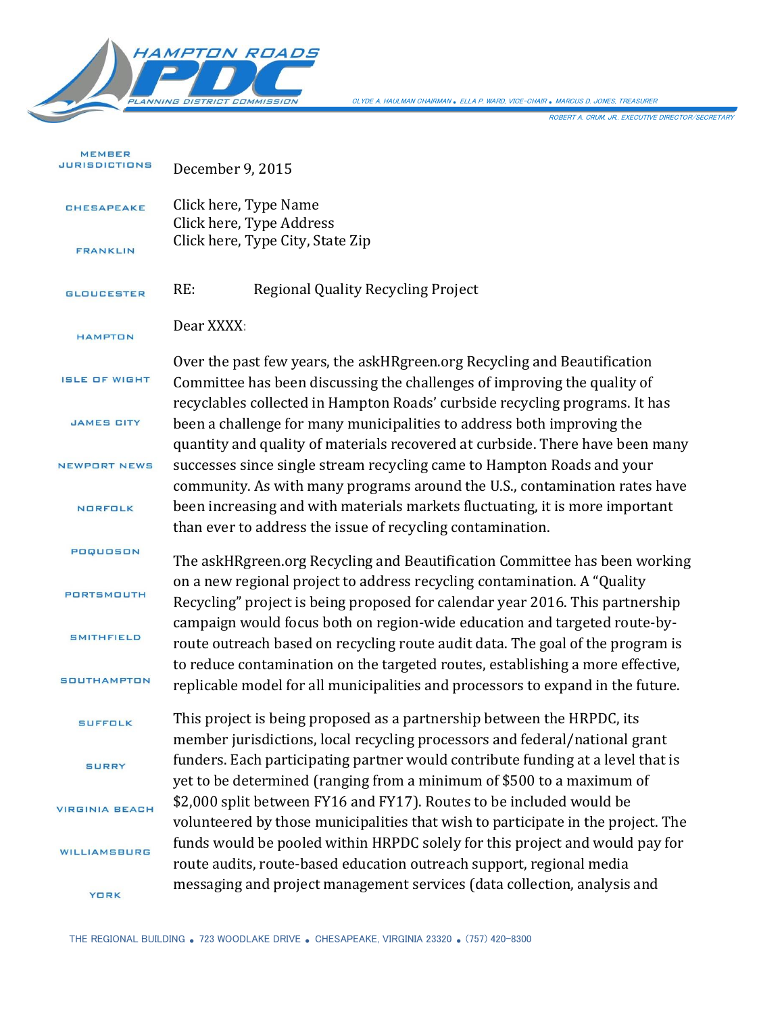

CLYDE A. HAULMAN CHAIRMAN *.* ELLA P. WARD, VICE-CHAIR *.* MARCUS D. JONES, TREASURER

ROBERT A. CRUM, JR., EXECUTIVE DIRECTOR/SECRETARY

| <b>MEMBER</b><br>JURISDICTIONS | December 9, 2015                                                                                                                                                                                                                    |
|--------------------------------|-------------------------------------------------------------------------------------------------------------------------------------------------------------------------------------------------------------------------------------|
| <b>CHESAPEAKE</b>              | Click here, Type Name<br>Click here, Type Address                                                                                                                                                                                   |
| <b>FRANKLIN</b>                | Click here, Type City, State Zip                                                                                                                                                                                                    |
| <b>GLOUCESTER</b>              | RE:<br>Regional Quality Recycling Project                                                                                                                                                                                           |
| <b>HAMPTON</b>                 | Dear XXXX:                                                                                                                                                                                                                          |
| <b>ISLE OF WIGHT</b>           | Over the past few years, the askHRgreen.org Recycling and Beautification<br>Committee has been discussing the challenges of improving the quality of<br>recyclables collected in Hampton Roads' curbside recycling programs. It has |
| <b>JAMES CITY</b>              | been a challenge for many municipalities to address both improving the<br>quantity and quality of materials recovered at curbside. There have been many                                                                             |
| NEWPORT NEWS                   | successes since single stream recycling came to Hampton Roads and your<br>community. As with many programs around the U.S., contamination rates have                                                                                |
| <b>NORFOLK</b>                 | been increasing and with materials markets fluctuating, it is more important<br>than ever to address the issue of recycling contamination.                                                                                          |
| POQUOSON                       | The askHRgreen.org Recycling and Beautification Committee has been working                                                                                                                                                          |
| PORTSMOUTH                     | on a new regional project to address recycling contamination. A "Quality<br>Recycling" project is being proposed for calendar year 2016. This partnership                                                                           |
| <b>SMITHFIELD</b>              | campaign would focus both on region-wide education and targeted route-by-<br>route outreach based on recycling route audit data. The goal of the program is                                                                         |
| <b>SOUTHAMPTON</b>             | to reduce contamination on the targeted routes, establishing a more effective,<br>replicable model for all municipalities and processors to expand in the future.                                                                   |
| <b>SUFFOLK</b>                 | This project is being proposed as a partnership between the HRPDC, its<br>member jurisdictions, local recycling processors and federal/national grant                                                                               |
| <b>SURRY</b>                   | funders. Each participating partner would contribute funding at a level that is<br>yet to be determined (ranging from a minimum of \$500 to a maximum of                                                                            |
| <b>VIRGINIA BEACH</b>          | \$2,000 split between FY16 and FY17). Routes to be included would be<br>volunteered by those municipalities that wish to participate in the project. The                                                                            |
| WILLIAMSBURG                   | funds would be pooled within HRPDC solely for this project and would pay for<br>route audits, route-based education outreach support, regional media                                                                                |
| <b>YORK</b>                    | messaging and project management services (data collection, analysis and                                                                                                                                                            |